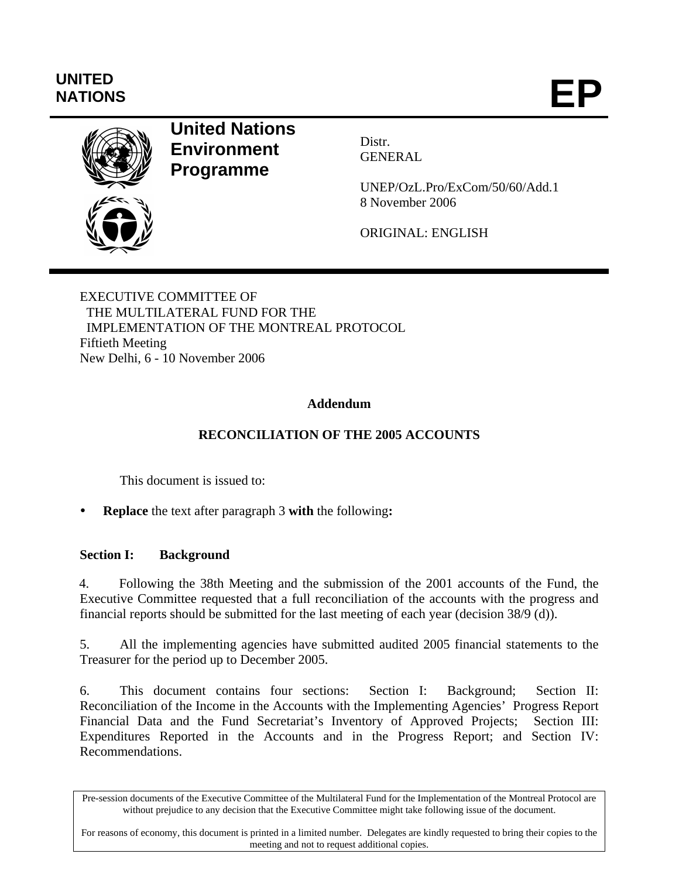# **UNITED**  UNITED<br>NATIONS **EP**



## **United Nations Environment Programme**

Distr. GENERAL

UNEP/OzL.Pro/ExCom/50/60/Add.1 8 November 2006

ORIGINAL: ENGLISH

EXECUTIVE COMMITTEE OF THE MULTILATERAL FUND FOR THE IMPLEMENTATION OF THE MONTREAL PROTOCOL Fiftieth Meeting New Delhi, 6 - 10 November 2006

## **Addendum**

## **RECONCILIATION OF THE 2005 ACCOUNTS**

This document is issued to:

**Replace** the text after paragraph 3 with the following:

## **Section I: Background**

4. Following the 38th Meeting and the submission of the 2001 accounts of the Fund, the Executive Committee requested that a full reconciliation of the accounts with the progress and financial reports should be submitted for the last meeting of each year (decision 38/9 (d)).

5. All the implementing agencies have submitted audited 2005 financial statements to the Treasurer for the period up to December 2005.

6. This document contains four sections: Section I: Background; Section II: Reconciliation of the Income in the Accounts with the Implementing Agencies' Progress Report Financial Data and the Fund Secretariat's Inventory of Approved Projects; Section III: Expenditures Reported in the Accounts and in the Progress Report; and Section IV: Recommendations.

Pre-session documents of the Executive Committee of the Multilateral Fund for the Implementation of the Montreal Protocol are without prejudice to any decision that the Executive Committee might take following issue of the document.

For reasons of economy, this document is printed in a limited number. Delegates are kindly requested to bring their copies to the meeting and not to request additional copies.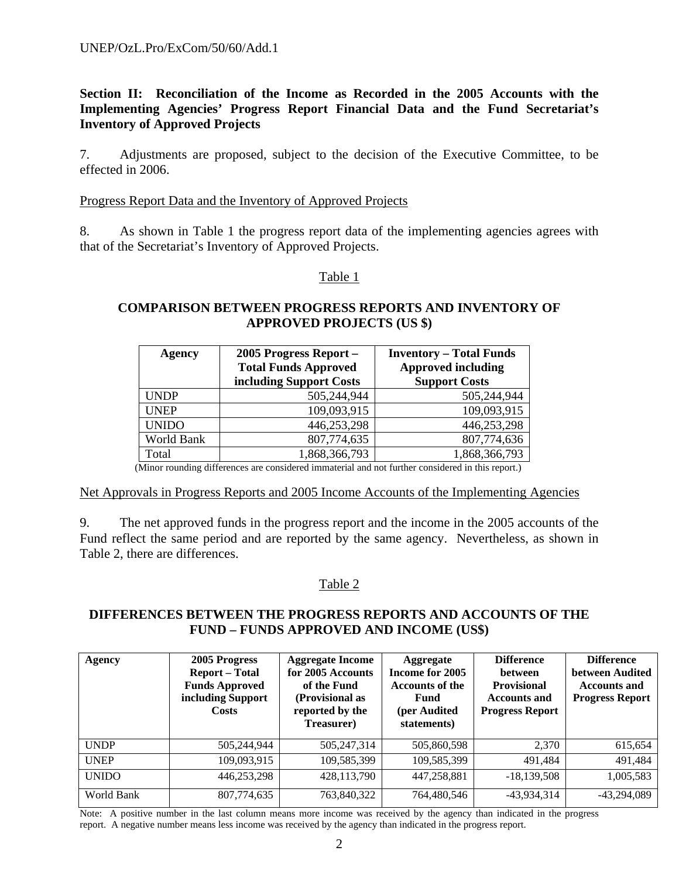**Section II: Reconciliation of the Income as Recorded in the 2005 Accounts with the Implementing Agencies' Progress Report Financial Data and the Fund Secretariat's Inventory of Approved Projects** 

7. Adjustments are proposed, subject to the decision of the Executive Committee, to be effected in 2006.

#### Progress Report Data and the Inventory of Approved Projects

8. As shown in Table 1 the progress report data of the implementing agencies agrees with that of the Secretariat's Inventory of Approved Projects.

#### Table 1

## **COMPARISON BETWEEN PROGRESS REPORTS AND INVENTORY OF APPROVED PROJECTS (US \$)**

| <b>Agency</b> | 2005 Progress Report -<br><b>Total Funds Approved</b><br>including Support Costs | <b>Inventory – Total Funds</b><br><b>Approved including</b><br><b>Support Costs</b> |  |  |
|---------------|----------------------------------------------------------------------------------|-------------------------------------------------------------------------------------|--|--|
| <b>UNDP</b>   | 505,244,944                                                                      | 505,244,944                                                                         |  |  |
| <b>UNEP</b>   | 109,093,915                                                                      | 109,093,915                                                                         |  |  |
| <b>UNIDO</b>  | 446,253,298                                                                      | 446,253,298                                                                         |  |  |
| World Bank    | 807,774,635                                                                      | 807,774,636                                                                         |  |  |
| Total         | 1,868,366,793                                                                    | 1,868,366,793                                                                       |  |  |

(Minor rounding differences are considered immaterial and not further considered in this report.)

#### Net Approvals in Progress Reports and 2005 Income Accounts of the Implementing Agencies

9. The net approved funds in the progress report and the income in the 2005 accounts of the Fund reflect the same period and are reported by the same agency. Nevertheless, as shown in Table 2, there are differences.

#### Table 2

#### **DIFFERENCES BETWEEN THE PROGRESS REPORTS AND ACCOUNTS OF THE FUND – FUNDS APPROVED AND INCOME (US\$)**

| Agency       | 2005 Progress<br><b>Report</b> – Total<br><b>Funds Approved</b><br>including Support<br><b>Costs</b> | <b>Aggregate Income</b><br>for 2005 Accounts<br>of the Fund<br>(Provisional as<br>reported by the<br>Treasurer) | Aggregate<br>Income for 2005<br><b>Accounts of the</b><br>Fund<br>(per Audited<br>statements) | <b>Difference</b><br><b>between</b><br><b>Provisional</b><br><b>Accounts and</b><br><b>Progress Report</b> |               |
|--------------|------------------------------------------------------------------------------------------------------|-----------------------------------------------------------------------------------------------------------------|-----------------------------------------------------------------------------------------------|------------------------------------------------------------------------------------------------------------|---------------|
| <b>UNDP</b>  | 505,244,944                                                                                          | 505,247,314                                                                                                     | 505,860,598                                                                                   | 2,370                                                                                                      | 615,654       |
| <b>UNEP</b>  | 109,093,915                                                                                          | 109,585,399                                                                                                     | 109,585,399                                                                                   | 491,484                                                                                                    | 491,484       |
| <b>UNIDO</b> | 446,253,298                                                                                          | 428,113,790                                                                                                     | 447,258,881                                                                                   | $-18,139,508$                                                                                              | 1,005,583     |
| World Bank   | 807,774,635                                                                                          | 763,840,322                                                                                                     | 764,480,546                                                                                   | -43,934,314                                                                                                | $-43,294,089$ |

Note: A positive number in the last column means more income was received by the agency than indicated in the progress report. A negative number means less income was received by the agency than indicated in the progress report.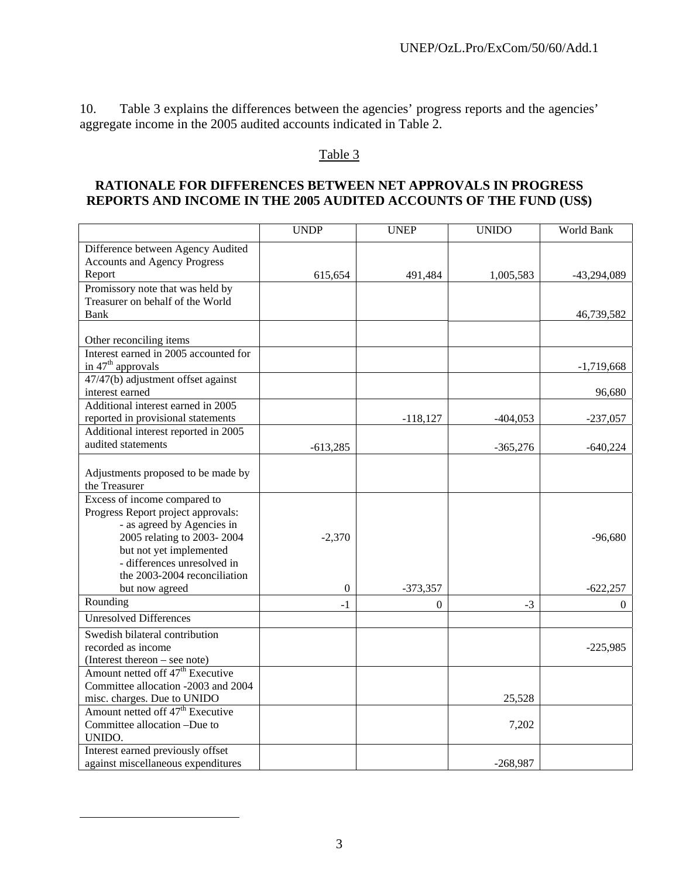10. Table 3 explains the differences between the agencies' progress reports and the agencies' aggregate income in the 2005 audited accounts indicated in Table 2.

## Table 3

## **RATIONALE FOR DIFFERENCES BETWEEN NET APPROVALS IN PROGRESS REPORTS AND INCOME IN THE 2005 AUDITED ACCOUNTS OF THE FUND (US\$)**

|                                              | <b>UNDP</b>  | <b>UNEP</b>    | <b>UNIDO</b> | <b>World Bank</b> |
|----------------------------------------------|--------------|----------------|--------------|-------------------|
| Difference between Agency Audited            |              |                |              |                   |
| <b>Accounts and Agency Progress</b>          |              |                |              |                   |
| Report                                       | 615,654      | 491,484        | 1,005,583    | $-43,294,089$     |
| Promissory note that was held by             |              |                |              |                   |
| Treasurer on behalf of the World             |              |                |              |                   |
| Bank                                         |              |                |              | 46,739,582        |
|                                              |              |                |              |                   |
| Other reconciling items                      |              |                |              |                   |
| Interest earned in 2005 accounted for        |              |                |              |                   |
| in 47 <sup>th</sup> approvals                |              |                |              | $-1,719,668$      |
| 47/47(b) adjustment offset against           |              |                |              |                   |
| interest earned                              |              |                |              | 96,680            |
| Additional interest earned in 2005           |              |                |              |                   |
| reported in provisional statements           |              | $-118,127$     | $-404,053$   | $-237,057$        |
| Additional interest reported in 2005         |              |                |              |                   |
| audited statements                           | $-613,285$   |                | $-365,276$   | $-640,224$        |
|                                              |              |                |              |                   |
| Adjustments proposed to be made by           |              |                |              |                   |
| the Treasurer                                |              |                |              |                   |
| Excess of income compared to                 |              |                |              |                   |
| Progress Report project approvals:           |              |                |              |                   |
| - as agreed by Agencies in                   |              |                |              |                   |
| 2005 relating to 2003-2004                   | $-2,370$     |                |              | $-96,680$         |
| but not yet implemented                      |              |                |              |                   |
| - differences unresolved in                  |              |                |              |                   |
| the 2003-2004 reconciliation                 |              |                |              |                   |
| but now agreed<br>Rounding                   | $\mathbf{0}$ | $-373,357$     |              | $-622,257$        |
|                                              | $-1$         | $\overline{0}$ | $-3$         | $\theta$          |
| <b>Unresolved Differences</b>                |              |                |              |                   |
| Swedish bilateral contribution               |              |                |              |                   |
| recorded as income                           |              |                |              | $-225,985$        |
| (Interest thereon – see note)                |              |                |              |                   |
| Amount netted off $47th$ Executive           |              |                |              |                   |
| Committee allocation -2003 and 2004          |              |                |              |                   |
| misc. charges. Due to UNIDO                  |              |                | 25,528       |                   |
| Amount netted off 47 <sup>th</sup> Executive |              |                |              |                   |
| Committee allocation -Due to                 |              |                | 7,202        |                   |
| UNIDO.                                       |              |                |              |                   |
| Interest earned previously offset            |              |                |              |                   |
| against miscellaneous expenditures           |              |                | $-268,987$   |                   |

 $\overline{a}$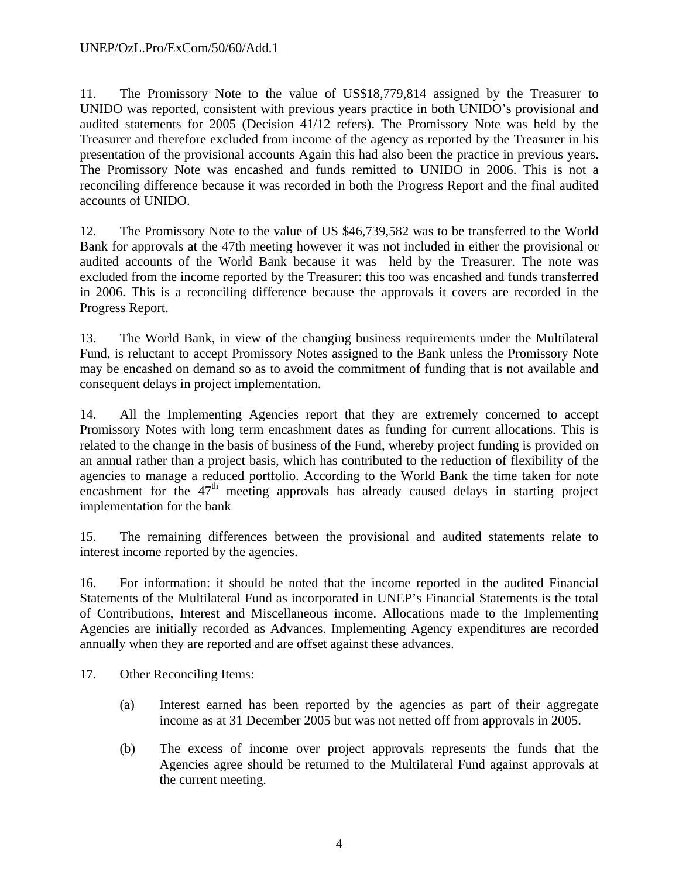11. The Promissory Note to the value of US\$18,779,814 assigned by the Treasurer to UNIDO was reported, consistent with previous years practice in both UNIDO's provisional and audited statements for 2005 (Decision 41/12 refers). The Promissory Note was held by the Treasurer and therefore excluded from income of the agency as reported by the Treasurer in his presentation of the provisional accounts Again this had also been the practice in previous years. The Promissory Note was encashed and funds remitted to UNIDO in 2006. This is not a reconciling difference because it was recorded in both the Progress Report and the final audited accounts of UNIDO.

12. The Promissory Note to the value of US \$46,739,582 was to be transferred to the World Bank for approvals at the 47th meeting however it was not included in either the provisional or audited accounts of the World Bank because it was held by the Treasurer. The note was excluded from the income reported by the Treasurer: this too was encashed and funds transferred in 2006. This is a reconciling difference because the approvals it covers are recorded in the Progress Report.

13. The World Bank, in view of the changing business requirements under the Multilateral Fund, is reluctant to accept Promissory Notes assigned to the Bank unless the Promissory Note may be encashed on demand so as to avoid the commitment of funding that is not available and consequent delays in project implementation.

14. All the Implementing Agencies report that they are extremely concerned to accept Promissory Notes with long term encashment dates as funding for current allocations. This is related to the change in the basis of business of the Fund, whereby project funding is provided on an annual rather than a project basis, which has contributed to the reduction of flexibility of the agencies to manage a reduced portfolio. According to the World Bank the time taken for note encashment for the  $47<sup>th</sup>$  meeting approvals has already caused delays in starting project implementation for the bank

15. The remaining differences between the provisional and audited statements relate to interest income reported by the agencies.

16. For information: it should be noted that the income reported in the audited Financial Statements of the Multilateral Fund as incorporated in UNEP's Financial Statements is the total of Contributions, Interest and Miscellaneous income. Allocations made to the Implementing Agencies are initially recorded as Advances. Implementing Agency expenditures are recorded annually when they are reported and are offset against these advances.

17. Other Reconciling Items:

- (a) Interest earned has been reported by the agencies as part of their aggregate income as at 31 December 2005 but was not netted off from approvals in 2005.
- (b) The excess of income over project approvals represents the funds that the Agencies agree should be returned to the Multilateral Fund against approvals at the current meeting.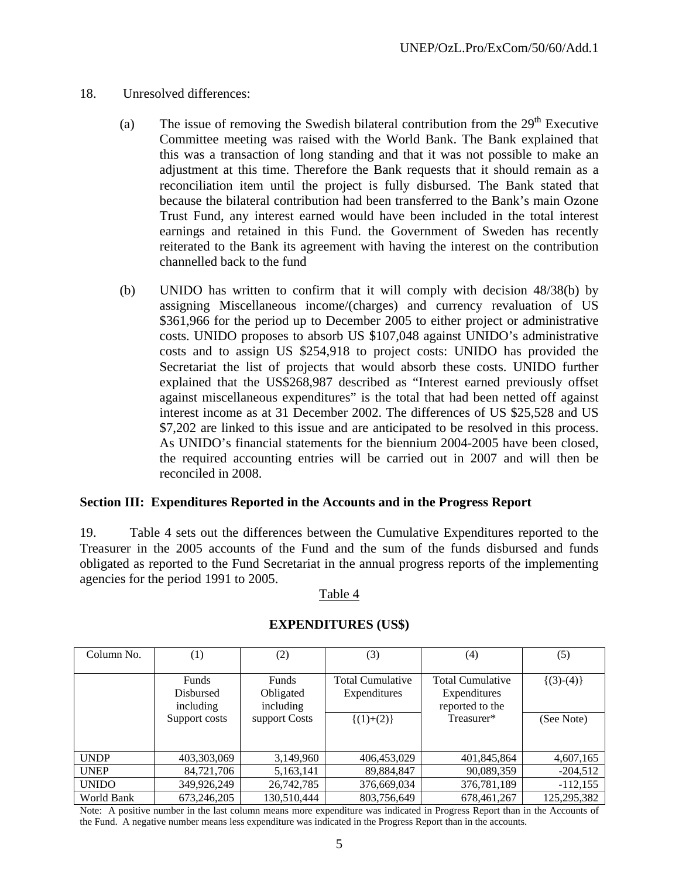- 18. Unresolved differences:
	- (a) The issue of removing the Swedish bilateral contribution from the  $29<sup>th</sup>$  Executive Committee meeting was raised with the World Bank. The Bank explained that this was a transaction of long standing and that it was not possible to make an adjustment at this time. Therefore the Bank requests that it should remain as a reconciliation item until the project is fully disbursed. The Bank stated that because the bilateral contribution had been transferred to the Bank's main Ozone Trust Fund, any interest earned would have been included in the total interest earnings and retained in this Fund. the Government of Sweden has recently reiterated to the Bank its agreement with having the interest on the contribution channelled back to the fund
	- (b) UNIDO has written to confirm that it will comply with decision 48/38(b) by assigning Miscellaneous income/(charges) and currency revaluation of US \$361,966 for the period up to December 2005 to either project or administrative costs. UNIDO proposes to absorb US \$107,048 against UNIDO's administrative costs and to assign US \$254,918 to project costs: UNIDO has provided the Secretariat the list of projects that would absorb these costs. UNIDO further explained that the US\$268,987 described as "Interest earned previously offset against miscellaneous expenditures" is the total that had been netted off against interest income as at 31 December 2002. The differences of US \$25,528 and US \$7,202 are linked to this issue and are anticipated to be resolved in this process. As UNIDO's financial statements for the biennium 2004-2005 have been closed, the required accounting entries will be carried out in 2007 and will then be reconciled in 2008.

#### **Section III: Expenditures Reported in the Accounts and in the Progress Report**

19. Table 4 sets out the differences between the Cumulative Expenditures reported to the Treasurer in the 2005 accounts of the Fund and the sum of the funds disbursed and funds obligated as reported to the Fund Secretariat in the annual progress reports of the implementing agencies for the period 1991 to 2005.

#### Table 4

| Column No.   | $\left(1\right)$                       | (2)                             | (3)                                     | (4)                                                 | (5)            |
|--------------|----------------------------------------|---------------------------------|-----------------------------------------|-----------------------------------------------------|----------------|
|              | <b>Funds</b><br>Disbursed<br>including | Funds<br>Obligated<br>including | <b>Total Cumulative</b><br>Expenditures | Total Cumulative<br>Expenditures<br>reported to the | $\{(3)-(4)\}\$ |
|              | Support costs                          | support Costs                   | $\{(1)+(2)\}\$                          | Treasurer*                                          | (See Note)     |
| <b>UNDP</b>  | 403,303,069                            | 3,149,960                       | 406,453,029                             | 401,845,864                                         | 4,607,165      |
| <b>UNEP</b>  | 84,721,706                             | 5,163,141                       | 89,884,847                              | 90,089,359                                          | $-204,512$     |
| <b>UNIDO</b> | 349,926,249                            | 26,742,785                      | 376,669,034                             | 376,781,189                                         | $-112,155$     |
| World Bank   | 673,246,205                            | 130,510,444                     | 803,756,649                             | 678,461,267                                         | 125,295,382    |

#### **EXPENDITURES (US\$)**

Note: A positive number in the last column means more expenditure was indicated in Progress Report than in the Accounts of the Fund. A negative number means less expenditure was indicated in the Progress Report than in the accounts.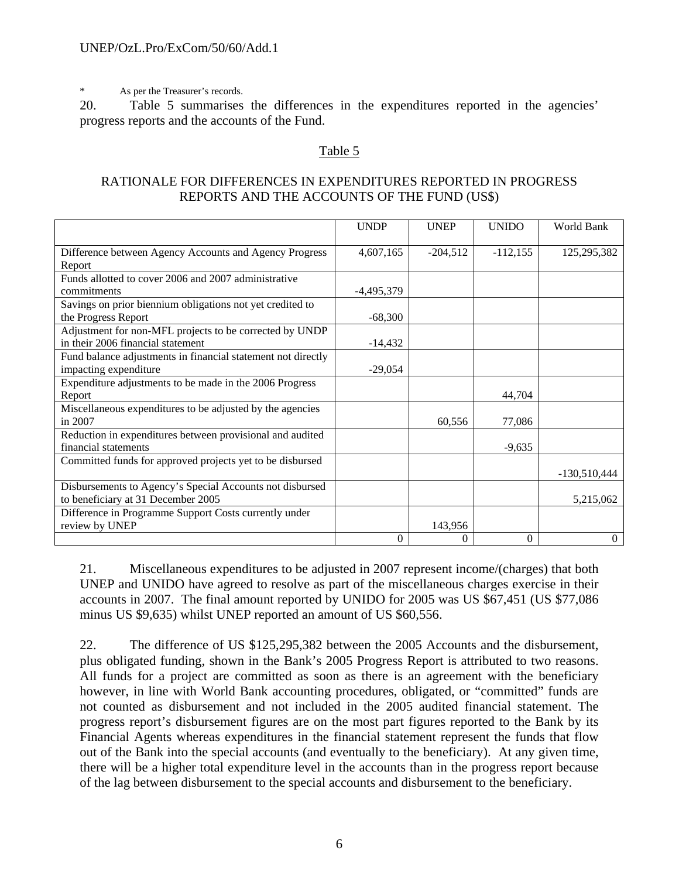\* As per the Treasurer's records.

20. Table 5 summarises the differences in the expenditures reported in the agencies' progress reports and the accounts of the Fund.

## Table 5

#### RATIONALE FOR DIFFERENCES IN EXPENDITURES REPORTED IN PROGRESS REPORTS AND THE ACCOUNTS OF THE FUND (US\$)

|                                                              | <b>UNDP</b> | <b>UNEP</b> | <b>UNIDO</b> | World Bank     |
|--------------------------------------------------------------|-------------|-------------|--------------|----------------|
|                                                              |             |             |              |                |
| Difference between Agency Accounts and Agency Progress       | 4,607,165   | $-204,512$  | $-112,155$   | 125, 295, 382  |
| Report                                                       |             |             |              |                |
| Funds allotted to cover 2006 and 2007 administrative         |             |             |              |                |
| commitments                                                  | -4,495,379  |             |              |                |
| Savings on prior biennium obligations not yet credited to    |             |             |              |                |
| the Progress Report                                          | $-68,300$   |             |              |                |
| Adjustment for non-MFL projects to be corrected by UNDP      |             |             |              |                |
| in their 2006 financial statement                            | $-14,432$   |             |              |                |
| Fund balance adjustments in financial statement not directly |             |             |              |                |
| impacting expenditure                                        | $-29,054$   |             |              |                |
| Expenditure adjustments to be made in the 2006 Progress      |             |             |              |                |
| Report                                                       |             |             | 44,704       |                |
| Miscellaneous expenditures to be adjusted by the agencies    |             |             |              |                |
| in 2007                                                      |             | 60,556      | 77,086       |                |
| Reduction in expenditures between provisional and audited    |             |             |              |                |
| financial statements                                         |             |             | $-9,635$     |                |
| Committed funds for approved projects yet to be disbursed    |             |             |              |                |
|                                                              |             |             |              | $-130,510,444$ |
| Disbursements to Agency's Special Accounts not disbursed     |             |             |              |                |
| to beneficiary at 31 December 2005                           |             |             |              | 5,215,062      |
| Difference in Programme Support Costs currently under        |             |             |              |                |
| review by UNEP                                               |             | 143,956     |              |                |
|                                                              | $\theta$    | $\Omega$    | $\mathbf{0}$ | $\overline{0}$ |

21. Miscellaneous expenditures to be adjusted in 2007 represent income/(charges) that both UNEP and UNIDO have agreed to resolve as part of the miscellaneous charges exercise in their accounts in 2007. The final amount reported by UNIDO for 2005 was US \$67,451 (US \$77,086 minus US \$9,635) whilst UNEP reported an amount of US \$60,556.

22. The difference of US \$125,295,382 between the 2005 Accounts and the disbursement, plus obligated funding, shown in the Bank's 2005 Progress Report is attributed to two reasons. All funds for a project are committed as soon as there is an agreement with the beneficiary however, in line with World Bank accounting procedures, obligated, or "committed" funds are not counted as disbursement and not included in the 2005 audited financial statement. The progress report's disbursement figures are on the most part figures reported to the Bank by its Financial Agents whereas expenditures in the financial statement represent the funds that flow out of the Bank into the special accounts (and eventually to the beneficiary). At any given time, there will be a higher total expenditure level in the accounts than in the progress report because of the lag between disbursement to the special accounts and disbursement to the beneficiary.